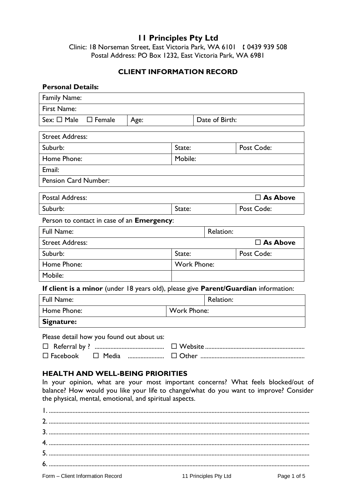## **11 Principles Pty Ltd**

Clinic: 18 Norseman Street, East Victoria Park, WA 6101 (0439 939 508 Postal Address: PO Box 1232, East Victoria Park, WA 6981

## **CLIENT INFORMATION RECORD**

| <b>Personal Details:</b>                                                                                                                                                                                                                                                         |                    |                       |                    |
|----------------------------------------------------------------------------------------------------------------------------------------------------------------------------------------------------------------------------------------------------------------------------------|--------------------|-----------------------|--------------------|
| Family Name:                                                                                                                                                                                                                                                                     |                    |                       |                    |
| First Name:                                                                                                                                                                                                                                                                      |                    |                       |                    |
| Sex: $\square$ Male<br>$\Box$ Female<br>Age:                                                                                                                                                                                                                                     |                    | Date of Birth:        |                    |
| <b>Street Address:</b>                                                                                                                                                                                                                                                           |                    |                       |                    |
| Suburb:                                                                                                                                                                                                                                                                          | State:             |                       | Post Code:         |
| Home Phone:                                                                                                                                                                                                                                                                      | Mobile:            |                       |                    |
| Email:                                                                                                                                                                                                                                                                           |                    |                       |                    |
| Pension Card Number:                                                                                                                                                                                                                                                             |                    |                       |                    |
| Postal Address:                                                                                                                                                                                                                                                                  |                    |                       | $\Box$ As Above    |
| Suburb:                                                                                                                                                                                                                                                                          | State:             |                       | Post Code:         |
| Person to contact in case of an <b>Emergency</b> :                                                                                                                                                                                                                               |                    |                       |                    |
| <b>Full Name:</b>                                                                                                                                                                                                                                                                |                    | Relation:             |                    |
| <b>Street Address:</b>                                                                                                                                                                                                                                                           |                    |                       | $\square$ As Above |
| Suburb:                                                                                                                                                                                                                                                                          | State:             |                       | Post Code:         |
| Home Phone:                                                                                                                                                                                                                                                                      | <b>Work Phone:</b> |                       |                    |
| Mobile:                                                                                                                                                                                                                                                                          |                    |                       |                    |
| If client is a minor (under 18 years old), please give Parent/Guardian information:                                                                                                                                                                                              |                    |                       |                    |
| <b>Full Name:</b>                                                                                                                                                                                                                                                                |                    | <b>Relation:</b>      |                    |
| Home Phone:                                                                                                                                                                                                                                                                      | <b>Work Phone:</b> |                       |                    |
| Signature:                                                                                                                                                                                                                                                                       |                    |                       |                    |
| Please detail how you found out about us:                                                                                                                                                                                                                                        |                    |                       |                    |
|                                                                                                                                                                                                                                                                                  |                    |                       |                    |
| $\square$ Facebook                                                                                                                                                                                                                                                               |                    |                       |                    |
| <b>HEALTH AND WELL-BEING PRIORITIES</b><br>In your opinion, what are your most important concerns? What feels blocked/out of<br>balance? How would you like your life to change/what do you want to improve? Consider<br>the physical, mental, emotional, and spiritual aspects. |                    |                       |                    |
| Form - Client Information Record                                                                                                                                                                                                                                                 |                    | 11 Principles Pty Ltd | Page 1 of 5        |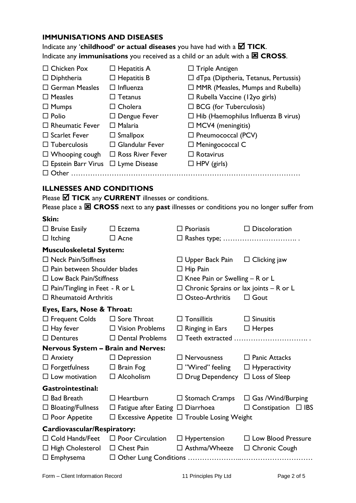# **IMMUNISATIONS AND DISEASES** Indicate any '**childhood' or actual diseases** you have had with a **TICK**.

|                                                                                                                                                                                                                                                                                               | Indicate any immunisations you received as a child or an adult with a $\boxtimes$ CROSS.                                                                                               |                                                                                                                                                                                                                            |                                                                                                                                      |
|-----------------------------------------------------------------------------------------------------------------------------------------------------------------------------------------------------------------------------------------------------------------------------------------------|----------------------------------------------------------------------------------------------------------------------------------------------------------------------------------------|----------------------------------------------------------------------------------------------------------------------------------------------------------------------------------------------------------------------------|--------------------------------------------------------------------------------------------------------------------------------------|
| $\Box$ Chicken Pox<br>$\Box$ Diphtheria<br>$\Box$ German Measles<br>$\Box$ Measles<br>$\Box$ Mumps<br>$\Box$ Polio<br>$\Box$ Rheumatic Fever<br>$\Box$ Scarlet Fever<br>$\Box$ Tuberculosis<br>$\Box$ Whooping cough $\Box$ Ross River Fever<br>$\Box$ Epstein Barr Virus $\Box$ Lyme Disease | $\Box$ Hepatitis A<br>$\Box$ Hepatitis B<br>$\Box$ Influenza<br>$\Box$ Tetanus<br>$\Box$ Cholera<br>$\Box$ Dengue Fever<br>$\Box$ Malaria<br>$\Box$ Smallpox<br>$\Box$ Glandular Fever | $\Box$ Triple Antigen<br>$\Box$ Rubella Vaccine (12yo girls)<br>$\Box$ BCG (for Tuberculosis)<br>$\Box$ MCV4 (meningitis)<br>$\Box$ Pneumococcal (PCV)<br>$\Box$ Meningococcal C<br>$\Box$ Rotavirus<br>$\Box$ HPV (girls) | $\Box$ dTpa (Diptheria, Tetanus, Pertussis)<br>$\Box$ MMR (Measles, Mumps and Rubella)<br>$\Box$ Hib (Haemophilus Influenza B virus) |
| <b>ILLNESSES AND CONDITIONS</b>                                                                                                                                                                                                                                                               | Please $\boxtimes$ TICK any CURRENT illnesses or conditions.                                                                                                                           |                                                                                                                                                                                                                            | Please place a $\boxtimes$ CROSS next to any past illnesses or conditions you no longer suffer from                                  |
| Skin:<br>$\Box$ Bruise Easily                                                                                                                                                                                                                                                                 | $\Box$ Eczema                                                                                                                                                                          | $\Box$ Psoriasis                                                                                                                                                                                                           | $\Box$ Discoloration                                                                                                                 |
| $\Box$ Itching                                                                                                                                                                                                                                                                                | $\Box$ Acne                                                                                                                                                                            |                                                                                                                                                                                                                            |                                                                                                                                      |
| <b>Musculoskeletal System:</b>                                                                                                                                                                                                                                                                |                                                                                                                                                                                        |                                                                                                                                                                                                                            |                                                                                                                                      |
| $\Box$ Neck Pain/Stiffness<br>$\Box$ Pain between Shoulder blades<br>$\Box$ Low Back Pain/Stiffness<br>$\Box$ Pain/Tingling in Feet - R or L<br>$\Box$ Rheumatoid Arthritis                                                                                                                   |                                                                                                                                                                                        | $\square$ Upper Back Pain<br>$\Box$ Hip Pain<br>$\Box$ Knee Pain or Swelling – R or L<br>$\Box$ Chronic Sprains or lax joints – R or L<br>$\Box$ Osteo-Arthritis                                                           | $\Box$ Clicking jaw<br>$\Box$ Gout                                                                                                   |
| Eyes, Ears, Nose & Throat:                                                                                                                                                                                                                                                                    |                                                                                                                                                                                        |                                                                                                                                                                                                                            |                                                                                                                                      |
| $\Box$ Frequent Colds $\Box$ Sore Throat<br>$\Box$ Hay fever<br>$\Box$ Dentures                                                                                                                                                                                                               | $\Box$ Vision Problems<br>$\Box$ Dental Problems                                                                                                                                       | $\square$ Tonsillitis<br>$\Box$ Ringing in Ears                                                                                                                                                                            | $\Box$ Sinusitis<br>$\Box$ Herpes                                                                                                    |
| Nervous System - Brain and Nerves:                                                                                                                                                                                                                                                            |                                                                                                                                                                                        |                                                                                                                                                                                                                            |                                                                                                                                      |
| $\Box$ Anxiety<br>$\square$ Forgetfulness<br>$\Box$ Low motivation                                                                                                                                                                                                                            | $\Box$ Depression<br>$\Box$ Brain Fog<br>$\Box$ Alcoholism                                                                                                                             | $\Box$ Nervousness<br>$\square$ "Wired" feeling<br>$\Box$ Drug Dependency $\Box$ Loss of Sleep                                                                                                                             | $\Box$ Panic Attacks<br>$\Box$ Hyperactivity                                                                                         |
| <b>Gastrointestinal:</b>                                                                                                                                                                                                                                                                      |                                                                                                                                                                                        |                                                                                                                                                                                                                            |                                                                                                                                      |
| $\Box$ Bad Breath<br>$\Box$ Bloating/Fullness<br>$\Box$ Poor Appetite                                                                                                                                                                                                                         | $\Box$ Heartburn<br>$\Box$ Fatigue after Eating $\Box$ Diarrhoea                                                                                                                       | $\Box$ Stomach Cramps<br>$\Box$ Excessive Appetite $\Box$ Trouble Losing Weight                                                                                                                                            | $\Box$ Gas / Wind/Burping<br>$\Box$ Constipation $\Box$ IBS                                                                          |
| Cardiovascular/Respiratory:                                                                                                                                                                                                                                                                   |                                                                                                                                                                                        |                                                                                                                                                                                                                            |                                                                                                                                      |
| $\Box$ Cold Hands/Feet<br>$\Box$ High Cholesterol<br>$\Box$ Emphysema                                                                                                                                                                                                                         | $\Box$ Poor Circulation<br>$\Box$ Chest Pain                                                                                                                                           | $\Box$ Hypertension<br>$\square$ Asthma/Wheeze                                                                                                                                                                             | $\Box$ Low Blood Pressure<br>$\Box$ Chronic Cough                                                                                    |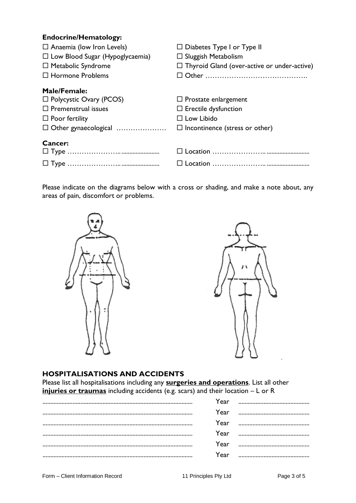| <b>Endocrine/Hematology:</b>           |                                                    |
|----------------------------------------|----------------------------------------------------|
| $\Box$ Anaemia (low Iron Levels)       | $\Box$ Diabetes Type I or Type II                  |
| $\Box$ Low Blood Sugar (Hypoglycaemia) | $\Box$ Sluggish Metabolism                         |
| $\Box$ Metabolic Syndrome              | $\Box$ Thyroid Gland (over-active or under-active) |
| $\Box$ Hormone Problems                |                                                    |
| <b>Male/Female:</b>                    |                                                    |
| $\Box$ Polycystic Ovary (PCOS)         | $\Box$ Prostate enlargement                        |
| $\Box$ Premenstrual issues             | $\Box$ Erectile dysfunction                        |
| $\Box$ Poor fertility                  | $\Box$ Low Libido                                  |
| $\Box$ Other gynaecological            | $\Box$ Incontinence (stress or other)              |
| Cancer:                                |                                                    |
|                                        |                                                    |
|                                        |                                                    |

Please indicate on the diagrams below with a cross or shading, and make a note about, any areas of pain, discomfort or problems.





#### **HOSPITALISATIONS AND ACCIDENTS**

Please list all hospitalisations including any **surgeries and operations**. List all other **injuries or traumas** including accidents (e.g. scars) and their location – L or R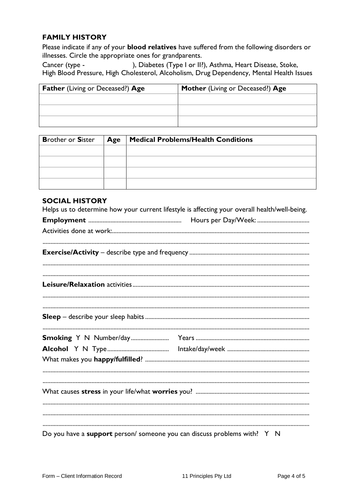### **FAMILY HISTORY**

Please indicate if any of your **blood relatives** have suffered from the following disorders or illnesses. Circle the appropriate ones for grandparents.

), Diabetes (Type I or II?), Asthma, Heart Disease, Stoke, Cancer (type -High Blood Pressure, High Cholesterol, Alcoholism, Drug Dependency, Mental Health Issues

| Father (Living or Deceased?) Age | Mother (Living or Deceased?) Age |
|----------------------------------|----------------------------------|
|                                  |                                  |
|                                  |                                  |
|                                  |                                  |

| <b>Brother or Sister</b> | Age | Medical Problems/Health Conditions |
|--------------------------|-----|------------------------------------|
|                          |     |                                    |
|                          |     |                                    |
|                          |     |                                    |
|                          |     |                                    |

#### **SOCIAL HISTORY**

Helps us to determine how your current lifestyle is affecting your overall health/well-being.

| Do you have a support person/ someone you can discuss problems with? Y N |  |
|--------------------------------------------------------------------------|--|